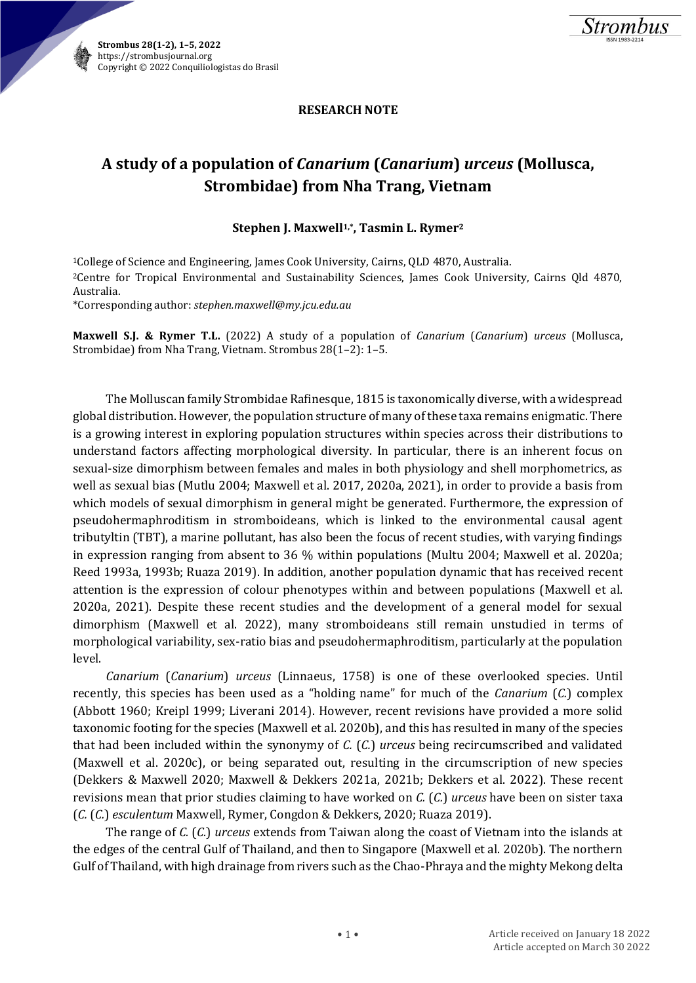

## **RESEARCH NOTE**

## **A study of a population of** *Canarium* **(***Canarium***)** *urceus* **(Mollusca, Strombidae) from Nha Trang, Vietnam**

## **Stephen J. Maxwell1,\*, Tasmin L. Rymer<sup>2</sup>**

<sup>1</sup>College of Science and Engineering, James Cook University, Cairns, QLD 4870, Australia. <sup>2</sup>Centre for Tropical Environmental and Sustainability Sciences, James Cook University, Cairns Qld 4870, Australia.

\*Corresponding author: *[stephen.maxwell@my.jcu.edu.au](mailto:stephen.maxwell@my.jcu.edu.au)*

**Maxwell S.J. & Rymer T.L.** (2022) A study of a population of *Canarium* (*Canarium*) *urceus* (Mollusca, Strombidae) from Nha Trang, Vietnam. Strombus 28(1–2): 1–5.

The Molluscan family Strombidae Rafinesque, 1815 is taxonomically diverse, with a widespread global distribution.However, the population structure of many of these taxa remains enigmatic. There is a growing interest in exploring population structures within species across their distributions to understand factors affecting morphological diversity. In particular, there is an inherent focus on sexual-size dimorphism between females and males in both physiology and shell morphometrics, as well as sexual bias (Mutlu 2004; Maxwell et al. 2017, 2020a, 2021), in order to provide a basis from which models of sexual dimorphism in general might be generated. Furthermore, the expression of pseudohermaphroditism in stromboideans, which is linked to the environmental causal agent tributyltin (TBT), a marine pollutant, has also been the focus of recent studies, with varying findings in expression ranging from absent to 36 % within populations (Multu 2004; Maxwell et al. 2020a; Reed 1993a, 1993b; Ruaza 2019). In addition, another population dynamic that has received recent attention is the expression of colour phenotypes within and between populations (Maxwell et al. 2020a, 2021). Despite these recent studies and the development of a general model for sexual dimorphism (Maxwell et al. 2022), many stromboideans still remain unstudied in terms of morphological variability, sex-ratio bias and pseudohermaphroditism, particularly at the population level.

*Canarium* (*Canarium*) *urceus* (Linnaeus, 1758) is one of these overlooked species. Until recently, this species has been used as a "holding name" for much of the *Canarium* (*C.*) complex (Abbott 1960; Kreipl 1999; Liverani 2014). However, recent revisions have provided a more solid taxonomic footing for the species (Maxwell et al. 2020b), and this has resulted in many of the species that had been included within the synonymy of *C.* (*C.*) *urceus* being recircumscribed and validated (Maxwell et al. 2020c), or being separated out, resulting in the circumscription of new species (Dekkers & Maxwell 2020; Maxwell & Dekkers 2021a, 2021b; Dekkers et al. 2022). These recent revisions mean that prior studies claiming to have worked on *C.* (*C.*) *urceus* have been on sister taxa (*C.* (*C.*) *esculentum* Maxwell, Rymer, Congdon & Dekkers, 2020; Ruaza 2019).

The range of *C.* (*C.*) *urceus* extends from Taiwan along the coast of Vietnam into the islands at the edges of the central Gulf of Thailand, and then to Singapore (Maxwell et al. 2020b). The northern Gulf of Thailand, with high drainage from rivers such as the Chao-Phraya and the mighty Mekong delta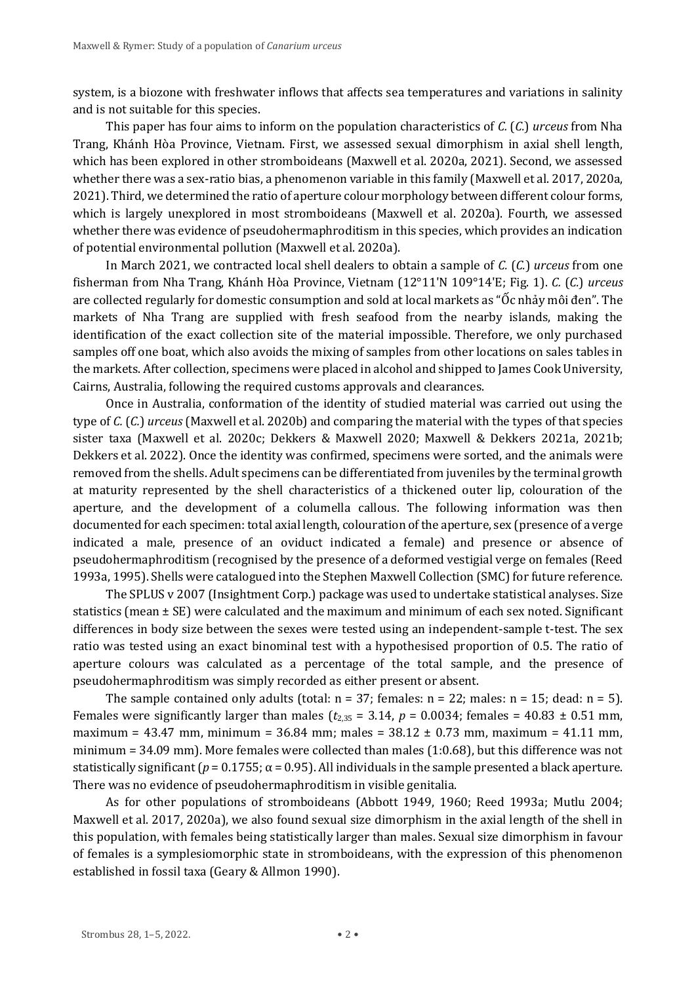system, is a biozone with freshwater inflows that affects sea temperatures and variations in salinity and is not suitable for this species.

This paper has four aims to inform on the population characteristics of *C.* (*C.*) *urceus* from Nha Trang, Khánh Hòa Province, Vietnam. First, we assessed sexual dimorphism in axial shell length, which has been explored in other stromboideans (Maxwell et al. 2020a, 2021). Second, we assessed whether there was a sex-ratio bias, a phenomenon variable in this family (Maxwell et al. 2017, 2020a, 2021). Third, we determined the ratio of aperture colour morphology between different colour forms, which is largely unexplored in most stromboideans (Maxwell et al. 2020a). Fourth, we assessed whether there was evidence of pseudohermaphroditism in this species, which provides an indication of potential environmental pollution (Maxwell et al. 2020a).

In March 2021, we contracted local shell dealers to obtain a sample of *C.* (*C.*) *urceus* from one fisherman from Nha Trang, Khánh Hòa Province, Vietnam (12°11ʹN 109°14ʹE; Fig. 1). *C.* (*C.*) *urceus* are collected regularly for domestic consumption and sold at local markets as "Ốc nhảy môi đen". The markets of Nha Trang are supplied with fresh seafood from the nearby islands, making the identification of the exact collection site of the material impossible. Therefore, we only purchased samples off one boat, which also avoids the mixing of samples from other locations on sales tables in the markets. After collection, specimens were placed in alcohol and shipped to James Cook University, Cairns, Australia, following the required customs approvals and clearances.

Once in Australia, conformation of the identity of studied material was carried out using the type of *C.* (*C.*) *urceus* (Maxwell et al. 2020b) and comparing the material with the types of that species sister taxa (Maxwell et al. 2020c; Dekkers & Maxwell 2020; Maxwell & Dekkers 2021a, 2021b; Dekkers et al. 2022). Once the identity was confirmed, specimens were sorted, and the animals were removed from the shells. Adult specimens can be differentiated from juveniles by the terminal growth at maturity represented by the shell characteristics of a thickened outer lip, colouration of the aperture, and the development of a columella callous. The following information was then documented for each specimen: total axial length, colouration of the aperture, sex (presence of a verge indicated a male, presence of an oviduct indicated a female) and presence or absence of pseudohermaphroditism (recognised by the presence of a deformed vestigial verge on females (Reed 1993a, 1995). Shells were catalogued into the Stephen Maxwell Collection (SMC) for future reference.

The SPLUS v 2007 (Insightment Corp.) package was used to undertake statistical analyses. Size statistics (mean ± SE) were calculated and the maximum and minimum of each sex noted. Significant differences in body size between the sexes were tested using an independent-sample t-test. The sex ratio was tested using an exact binominal test with a hypothesised proportion of 0.5. The ratio of aperture colours was calculated as a percentage of the total sample, and the presence of pseudohermaphroditism was simply recorded as either present or absent.

The sample contained only adults (total:  $n = 37$ ; females:  $n = 22$ ; males:  $n = 15$ ; dead:  $n = 5$ ). Females were significantly larger than males ( $t_{2,35}$  = 3.14,  $p = 0.0034$ ; females = 40.83 ± 0.51 mm, maximum =  $43.47$  mm, minimum =  $36.84$  mm; males =  $38.12 \pm 0.73$  mm, maximum =  $41.11$  mm, minimum = 34.09 mm). More females were collected than males (1:0.68), but this difference was not statistically significant ( $p = 0.1755$ ;  $\alpha = 0.95$ ). All individuals in the sample presented a black aperture. There was no evidence of pseudohermaphroditism in visible genitalia.

As for other populations of stromboideans (Abbott 1949, 1960; Reed 1993a; Mutlu 2004; Maxwell et al. 2017, 2020a), we also found sexual size dimorphism in the axial length of the shell in this population, with females being statistically larger than males. Sexual size dimorphism in favour of females is a symplesiomorphic state in stromboideans, with the expression of this phenomenon established in fossil taxa (Geary & Allmon 1990).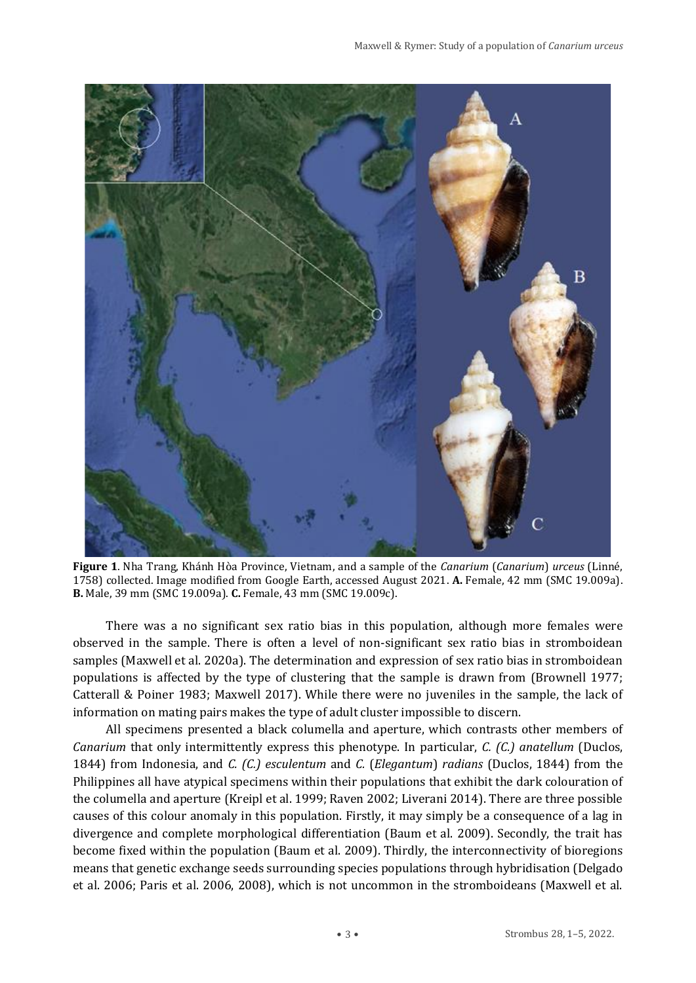

**Figure 1**. Nha Trang, Khánh Hòa Province, Vietnam, and a sample of the *Canarium* (*Canarium*) *urceus* (Linné, 1758) collected. Image modified from Google Earth, accessed August 2021. **A.** Female, 42 mm (SMC 19.009a). **B.** Male, 39 mm (SMC 19.009a). **C.** Female, 43 mm (SMC 19.009c).

There was a no significant sex ratio bias in this population, although more females were observed in the sample. There is often a level of non-significant sex ratio bias in stromboidean samples (Maxwell et al. 2020a). The determination and expression of sex ratio bias in stromboidean populations is affected by the type of clustering that the sample is drawn from (Brownell 1977; Catterall & Poiner 1983; Maxwell 2017). While there were no juveniles in the sample, the lack of information on mating pairs makes the type of adult cluster impossible to discern.

All specimens presented a black columella and aperture, which contrasts other members of *Canarium* that only intermittently express this phenotype. In particular, *C. (C.) anatellum* (Duclos, 1844) from Indonesia, and *C. (C.) esculentum* and *C.* (*Elegantum*) *radians* (Duclos, 1844) from the Philippines all have atypical specimens within their populations that exhibit the dark colouration of the columella and aperture (Kreipl et al. 1999; Raven 2002; Liverani 2014). There are three possible causes of this colour anomaly in this population. Firstly, it may simply be a consequence of a lag in divergence and complete morphological differentiation (Baum et al. 2009). Secondly, the trait has become fixed within the population (Baum et al. 2009). Thirdly, the interconnectivity of bioregions means that genetic exchange seeds surrounding species populations through hybridisation (Delgado et al. 2006; Paris et al. 2006, 2008), which is not uncommon in the stromboideans (Maxwell et al.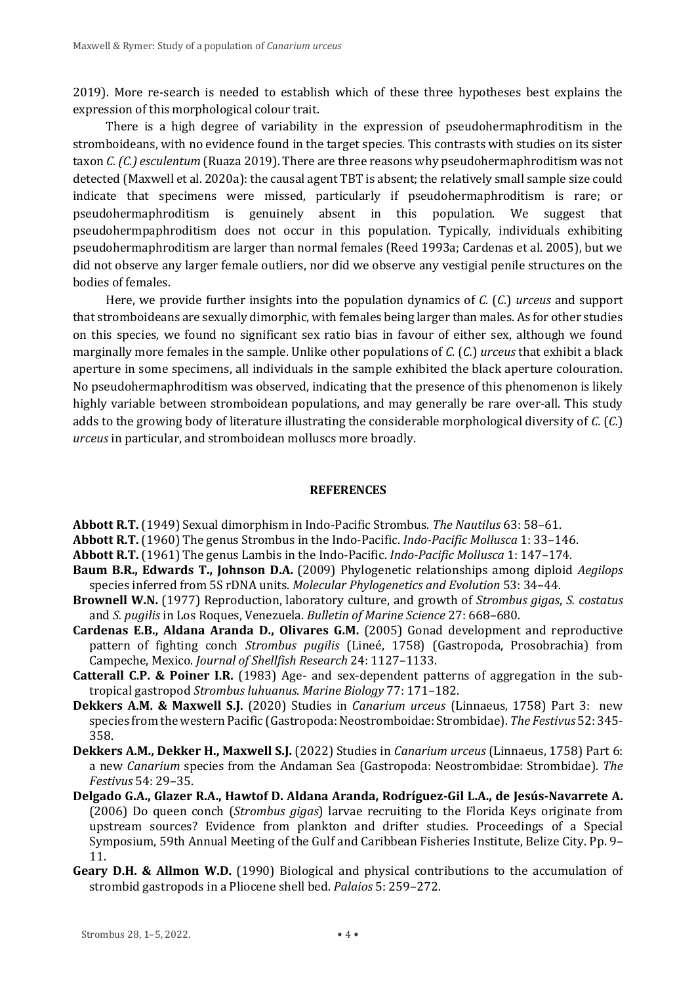2019). More re-search is needed to establish which of these three hypotheses best explains the expression of this morphological colour trait.

There is a high degree of variability in the expression of pseudohermaphroditism in the stromboideans, with no evidence found in the target species. This contrasts with studies on its sister taxon *C. (C.) esculentum* (Ruaza 2019). There are three reasons why pseudohermaphroditism was not detected (Maxwell et al. 2020a): the causal agent TBT is absent; the relatively small sample size could indicate that specimens were missed, particularly if pseudohermaphroditism is rare; or pseudohermaphroditism is genuinely absent in this population. We suggest that pseudohermpaphroditism does not occur in this population. Typically, individuals exhibiting pseudohermaphroditism are larger than normal females (Reed 1993a; Cardenas et al. 2005), but we did not observe any larger female outliers, nor did we observe any vestigial penile structures on the bodies of females.

Here, we provide further insights into the population dynamics of *C.* (*C.*) *urceus* and support that stromboideans are sexually dimorphic, with females being larger than males. As for other studies on this species, we found no significant sex ratio bias in favour of either sex, although we found marginally more females in the sample. Unlike other populations of *C.* (*C.*) *urceus* that exhibit a black aperture in some specimens, all individuals in the sample exhibited the black aperture colouration. No pseudohermaphroditism was observed, indicating that the presence of this phenomenon is likely highly variable between stromboidean populations, and may generally be rare over-all. This study adds to the growing body of literature illustrating the considerable morphological diversity of *C.* (*C.*) *urceus* in particular, and stromboidean molluscs more broadly.

## **REFERENCES**

**Abbott R.T.** (1949) Sexual dimorphism in Indo-Pacific Strombus. *The Nautilus* 63: 58–61.

**Abbott R.T.** (1960) The genus Strombus in the Indo-Pacific. *Indo-Pacific Mollusca* 1: 33–146.

**Abbott R.T.** (1961) The genus Lambis in the Indo-Pacific. *Indo-Pacific Mollusca* 1: 147–174.

- **Baum B.R., Edwards T., Johnson D.A.** (2009) Phylogenetic relationships among diploid *Aegilops* species inferred from 5S rDNA units. *Molecular Phylogenetics and Evolution* 53: 34–44.
- **Brownell W.N.** (1977) Reproduction, laboratory culture, and growth of *Strombus gigas*, *S. costatus* and *S. pugilis* in Los Roques, Venezuela. *Bulletin of Marine Science* 27: 668–680.
- **Cardenas E.B., Aldana Aranda D., Olivares G.M.** (2005) Gonad development and reproductive pattern of fighting conch *Strombus pugilis* (Lineé, 1758) (Gastropoda, Prosobrachia) from Campeche, Mexico. *Journal of Shellfish Research* 24: 1127–1133.
- **Catterall C.P. & Poiner I.R.** (1983) Age- and sex-dependent patterns of aggregation in the subtropical gastropod *Strombus luhuanus*. *Marine Biology* 77: 171–182.
- **Dekkers A.M. & Maxwell S.J.** (2020) Studies in *Canarium urceus* (Linnaeus, 1758) Part 3: new species from the western Pacific (Gastropoda: Neostromboidae: Strombidae). *The Festivus* 52: 345- 358.
- **Dekkers A.M., Dekker H., Maxwell S.J.** (2022) Studies in *Canarium urceus* (Linnaeus, 1758) Part 6: a new *Canarium* species from the Andaman Sea (Gastropoda: Neostrombidae: Strombidae). *The Festivus* 54: 29–35.
- **Delgado G.A., Glazer R.A., Hawtof D. Aldana Aranda, Rodríguez-Gil L.A., de Jesús-Navarrete A.** (2006) Do queen conch (*Strombus gigas*) larvae recruiting to the Florida Keys originate from upstream sources? Evidence from plankton and drifter studies. Proceedings of a Special Symposium, 59th Annual Meeting of the Gulf and Caribbean Fisheries Institute, Belize City. Pp. 9– 11.
- **Geary D.H. & Allmon W.D.** (1990) Biological and physical contributions to the accumulation of strombid gastropods in a Pliocene shell bed. *Palaios* 5: 259–272.